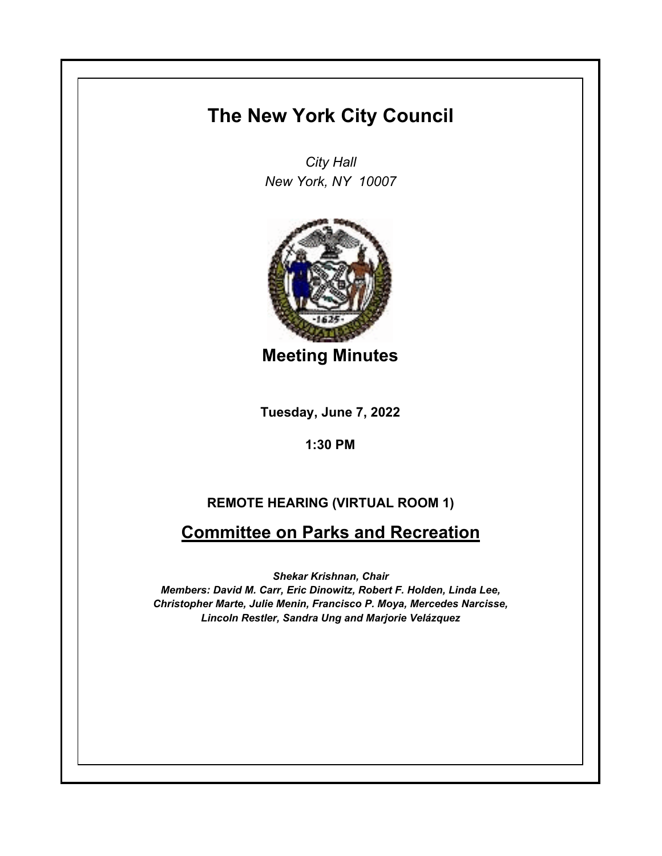## **The New York City Council**

*City Hall New York, NY 10007*



**Meeting Minutes**

**Tuesday, June 7, 2022**

**1:30 PM**

## **REMOTE HEARING (VIRTUAL ROOM 1)**

## **Committee on Parks and Recreation**

*Shekar Krishnan, Chair Members: David M. Carr, Eric Dinowitz, Robert F. Holden, Linda Lee, Christopher Marte, Julie Menin, Francisco P. Moya, Mercedes Narcisse, Lincoln Restler, Sandra Ung and Marjorie Velázquez*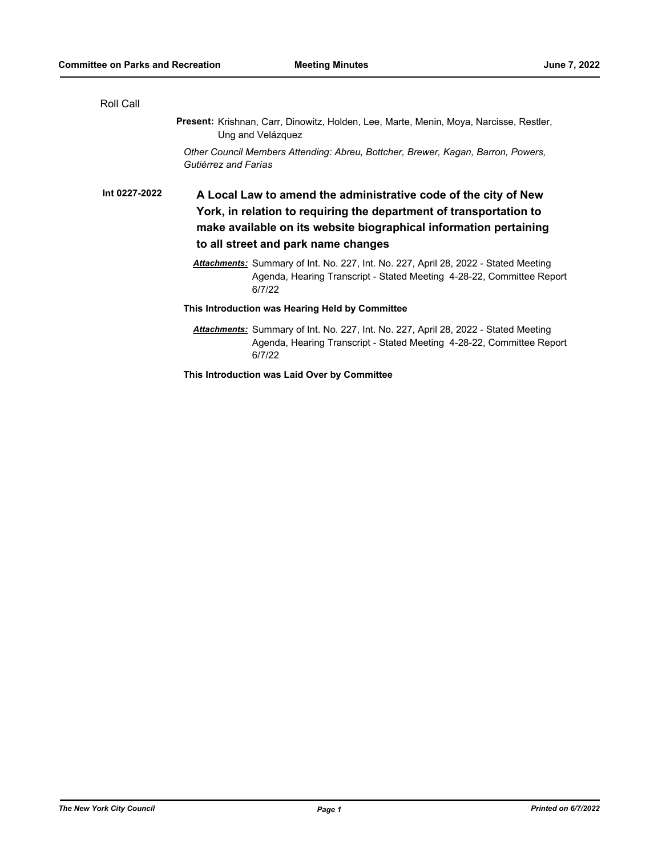| Roll Call     |                                                                                                                                                                                                                                                   |
|---------------|---------------------------------------------------------------------------------------------------------------------------------------------------------------------------------------------------------------------------------------------------|
|               | Present: Krishnan, Carr, Dinowitz, Holden, Lee, Marte, Menin, Moya, Narcisse, Restler,<br>Ung and Velázquez                                                                                                                                       |
|               | Other Council Members Attending: Abreu, Bottcher, Brewer, Kagan, Barron, Powers,<br>Gutiérrez and Farías                                                                                                                                          |
| Int 0227-2022 | A Local Law to amend the administrative code of the city of New<br>York, in relation to requiring the department of transportation to<br>make available on its website biographical information pertaining<br>to all street and park name changes |
|               | <b>Attachments:</b> Summary of Int. No. 227, Int. No. 227, April 28, 2022 - Stated Meeting<br>Agenda, Hearing Transcript - Stated Meeting 4-28-22, Committee Report<br>6/7/22                                                                     |
|               | This Introduction was Hearing Held by Committee                                                                                                                                                                                                   |
|               | <b>Attachments:</b> Summary of Int. No. 227, Int. No. 227, April 28, 2022 - Stated Meeting<br>Agenda, Hearing Transcript - Stated Meeting 4-28-22, Committee Report<br>6/7/22                                                                     |

**This Introduction was Laid Over by Committee**

*The New York City Council Page 1 Printed on 6/7/2022*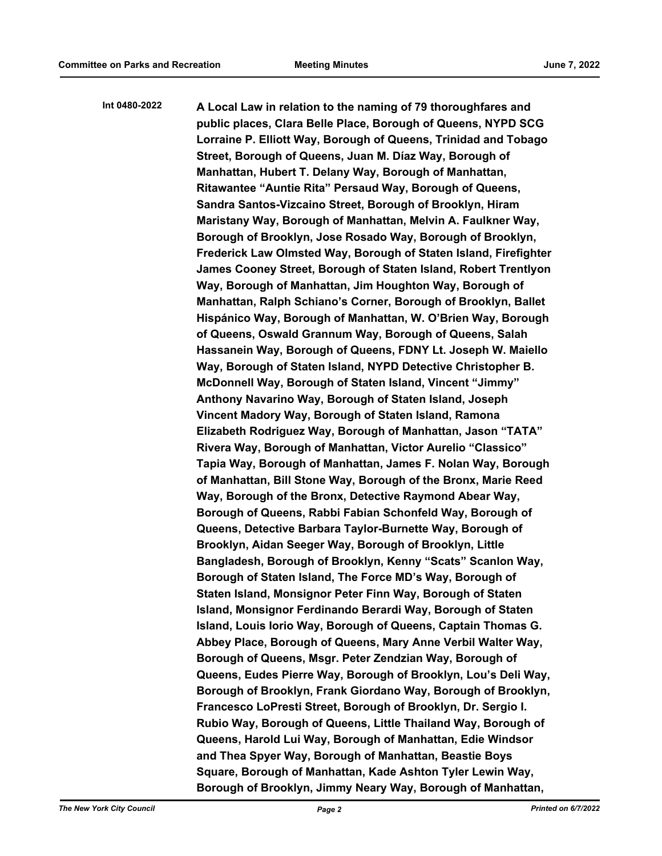**A Local Law in relation to the naming of 79 thoroughfares and public places, Clara Belle Place, Borough of Queens, NYPD SCG Lorraine P. Elliott Way, Borough of Queens, Trinidad and Tobago Street, Borough of Queens, Juan M. Díaz Way, Borough of Manhattan, Hubert T. Delany Way, Borough of Manhattan, Ritawantee "Auntie Rita" Persaud Way, Borough of Queens, Sandra Santos-Vizcaino Street, Borough of Brooklyn, Hiram Maristany Way, Borough of Manhattan, Melvin A. Faulkner Way, Borough of Brooklyn, Jose Rosado Way, Borough of Brooklyn, Frederick Law Olmsted Way, Borough of Staten Island, Firefighter James Cooney Street, Borough of Staten Island, Robert Trentlyon Way, Borough of Manhattan, Jim Houghton Way, Borough of Manhattan, Ralph Schiano's Corner, Borough of Brooklyn, Ballet Hispánico Way, Borough of Manhattan, W. O'Brien Way, Borough of Queens, Oswald Grannum Way, Borough of Queens, Salah Hassanein Way, Borough of Queens, FDNY Lt. Joseph W. Maiello Way, Borough of Staten Island, NYPD Detective Christopher B. McDonnell Way, Borough of Staten Island, Vincent "Jimmy" Anthony Navarino Way, Borough of Staten Island, Joseph Vincent Madory Way, Borough of Staten Island, Ramona Elizabeth Rodriguez Way, Borough of Manhattan, Jason "TATA" Rivera Way, Borough of Manhattan, Victor Aurelio "Classico" Tapia Way, Borough of Manhattan, James F. Nolan Way, Borough of Manhattan, Bill Stone Way, Borough of the Bronx, Marie Reed Way, Borough of the Bronx, Detective Raymond Abear Way, Borough of Queens, Rabbi Fabian Schonfeld Way, Borough of Queens, Detective Barbara Taylor-Burnette Way, Borough of Brooklyn, Aidan Seeger Way, Borough of Brooklyn, Little Bangladesh, Borough of Brooklyn, Kenny "Scats" Scanlon Way, Borough of Staten Island, The Force MD's Way, Borough of Staten Island, Monsignor Peter Finn Way, Borough of Staten Island, Monsignor Ferdinando Berardi Way, Borough of Staten Island, Louis Iorio Way, Borough of Queens, Captain Thomas G. Abbey Place, Borough of Queens, Mary Anne Verbil Walter Way, Borough of Queens, Msgr. Peter Zendzian Way, Borough of Queens, Eudes Pierre Way, Borough of Brooklyn, Lou's Deli Way, Borough of Brooklyn, Frank Giordano Way, Borough of Brooklyn, Francesco LoPresti Street, Borough of Brooklyn, Dr. Sergio I. Rubio Way, Borough of Queens, Little Thailand Way, Borough of Queens, Harold Lui Way, Borough of Manhattan, Edie Windsor and Thea Spyer Way, Borough of Manhattan, Beastie Boys Square, Borough of Manhattan, Kade Ashton Tyler Lewin Way, Borough of Brooklyn, Jimmy Neary Way, Borough of Manhattan, Int 0480-2022**